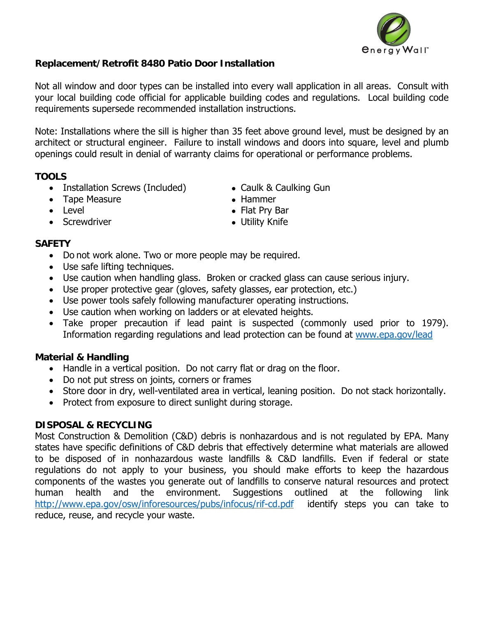

## **Replacement/Retrofit 8480 Patio Door Installation**

Not all window and door types can be installed into every wall application in all areas. Consult with your local building code official for applicable building codes and regulations. Local building code requirements supersede recommended installation instructions.

Note: Installations where the sill is higher than 35 feet above ground level, must be designed by an architect or structural engineer. Failure to install windows and doors into square, level and plumb openings could result in denial of warranty claims for operational or performance problems.

## **TOOLS**

- Installation Screws (Included) Caulk & Caulking Gun
- Tape Measure Nammer
- 
- Screwdriver  **Screwdriver Screwdriver Screwdriver Utility Knife**
- 
- 
- Level Flat Prv Bar
	-

## **SAFETY**

- Do not work alone. Two or more people may be required.
- Use safe lifting techniques.
- Use caution when handling glass. Broken or cracked glass can cause serious injury.
- Use proper protective gear (gloves, safety glasses, ear protection, etc.)
- Use power tools safely following manufacturer operating instructions.
- Use caution when working on ladders or at elevated heights.
- Take proper precaution if lead paint is suspected (commonly used prior to 1979). Information regarding regulations and lead protection can be found at www.epa.gov/lead

# **Material & Handling**

- Handle in a vertical position. Do not carry flat or drag on the floor.
- Do not put stress on joints, corners or frames
- Store door in dry, well-ventilated area in vertical, leaning position. Do not stack horizontally.
- Protect from exposure to direct sunlight during storage.

### **DISPOSAL & RECYCLING**

Most Construction & Demolition (C&D) debris is nonhazardous and is not regulated by EPA. Many states have specific definitions of C&D debris that effectively determine what materials are allowed to be disposed of in nonhazardous waste landfills & C&D landfills. Even if federal or state regulations do not apply to your business, you should make efforts to keep the hazardous components of the wastes you generate out of landfills to conserve natural resources and protect human health and the environment. Suggestions outlined at the following link http://www.epa.gov/osw/inforesources/pubs/infocus/rif-cd.pdf identify steps you can take to reduce, reuse, and recycle your waste.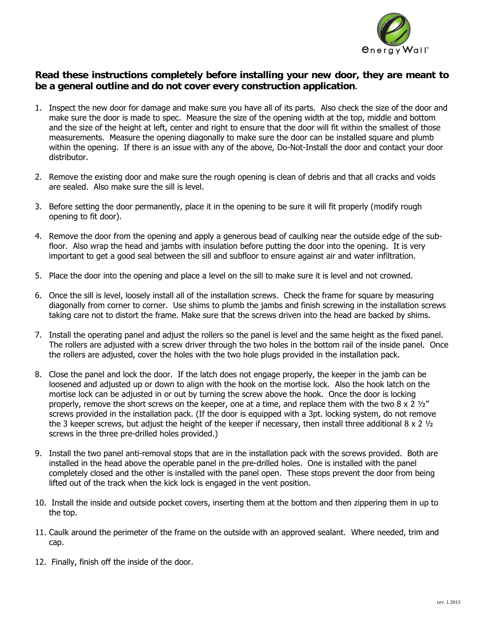

#### **Read these instructions completely before installing your new door, they are meant to be a general outline and do not cover every construction application**.

- 1. Inspect the new door for damage and make sure you have all of its parts. Also check the size of the door and make sure the door is made to spec. Measure the size of the opening width at the top, middle and bottom and the size of the height at left, center and right to ensure that the door will fit within the smallest of those measurements. Measure the opening diagonally to make sure the door can be installed square and plumb within the opening. If there is an issue with any of the above, Do-Not-Install the door and contact your door distributor.
- 2. Remove the existing door and make sure the rough opening is clean of debris and that all cracks and voids are sealed. Also make sure the sill is level.
- 3. Before setting the door permanently, place it in the opening to be sure it will fit properly (modify rough opening to fit door).
- 4. Remove the door from the opening and apply a generous bead of caulking near the outside edge of the subfloor. Also wrap the head and jambs with insulation before putting the door into the opening. It is very important to get a good seal between the sill and subfloor to ensure against air and water infiltration.
- 5. Place the door into the opening and place a level on the sill to make sure it is level and not crowned.
- 6. Once the sill is level, loosely install all of the installation screws. Check the frame for square by measuring diagonally from corner to corner. Use shims to plumb the jambs and finish screwing in the installation screws taking care not to distort the frame. Make sure that the screws driven into the head are backed by shims.
- 7. Install the operating panel and adjust the rollers so the panel is level and the same height as the fixed panel. The rollers are adjusted with a screw driver through the two holes in the bottom rail of the inside panel. Once the rollers are adjusted, cover the holes with the two hole plugs provided in the installation pack.
- 8. Close the panel and lock the door. If the latch does not engage properly, the keeper in the jamb can be loosened and adjusted up or down to align with the hook on the mortise lock. Also the hook latch on the mortise lock can be adjusted in or out by turning the screw above the hook. Once the door is locking properly, remove the short screws on the keeper, one at a time, and replace them with the two 8 x 2  $\frac{1}{2}$ " screws provided in the installation pack. (If the door is equipped with a 3pt. locking system, do not remove the 3 keeper screws, but adjust the height of the keeper if necessary, then install three additional  $8 \times 2 \frac{1}{2}$ screws in the three pre-drilled holes provided.)
- 9. Install the two panel anti-removal stops that are in the installation pack with the screws provided. Both are installed in the head above the operable panel in the pre-drilled holes. One is installed with the panel completely closed and the other is installed with the panel open. These stops prevent the door from being lifted out of the track when the kick lock is engaged in the vent position.
- 10. Install the inside and outside pocket covers, inserting them at the bottom and then zippering them in up to the top.
- 11. Caulk around the perimeter of the frame on the outside with an approved sealant. Where needed, trim and cap.
- 12. Finally, finish off the inside of the door.